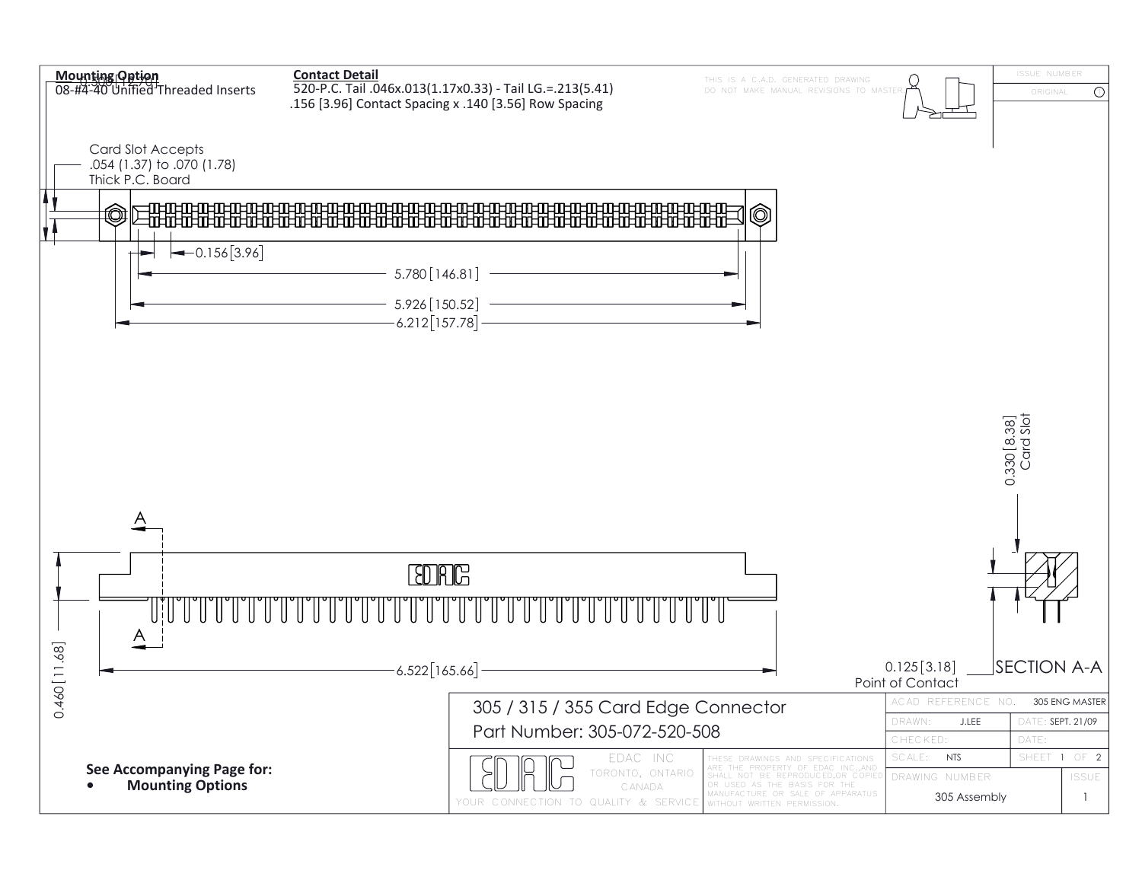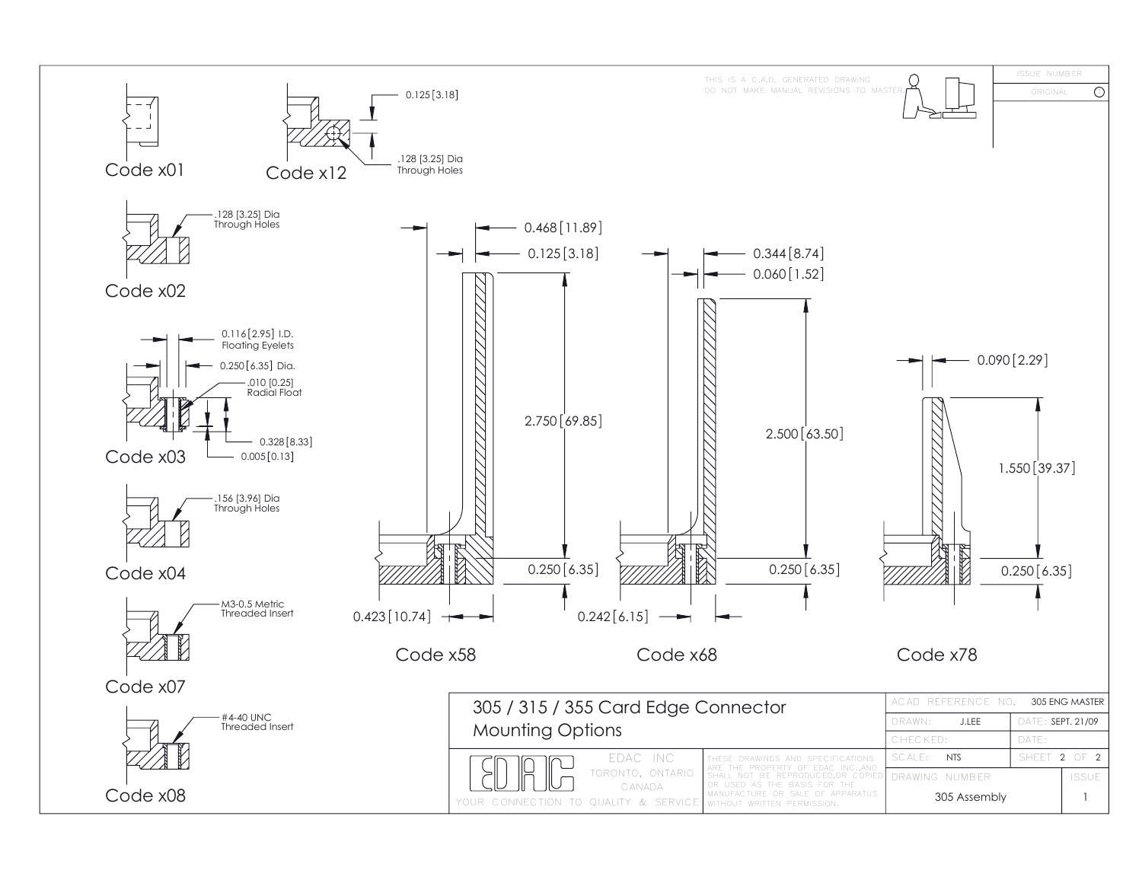